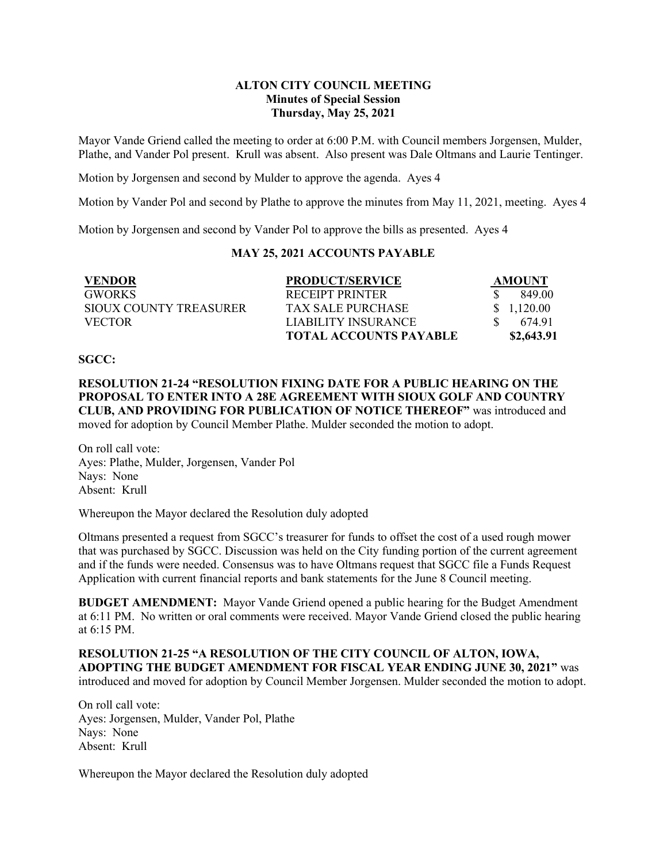### **ALTON CITY COUNCIL MEETING Minutes of Special Session Thursday, May 25, 2021**

Mayor Vande Griend called the meeting to order at 6:00 P.M. with Council members Jorgensen, Mulder, Plathe, and Vander Pol present. Krull was absent. Also present was Dale Oltmans and Laurie Tentinger.

Motion by Jorgensen and second by Mulder to approve the agenda. Ayes 4

Motion by Vander Pol and second by Plathe to approve the minutes from May 11, 2021, meeting. Ayes 4

Motion by Jorgensen and second by Vander Pol to approve the bills as presented. Ayes 4

# **MAY 25, 2021 ACCOUNTS PAYABLE**

| <b>VENDOR</b>          | <b>PRODUCT/SERVICE</b>        | AMOUNT      |
|------------------------|-------------------------------|-------------|
| <b>GWORKS</b>          | RECEIPT PRINTER               | 849.00      |
| SIOUX COUNTY TREASURER | TAX SALE PURCHASE             | \$ 1,120.00 |
| <b>VECTOR</b>          | LIABILITY INSURANCE           | 674.91      |
|                        | <b>TOTAL ACCOUNTS PAYABLE</b> | \$2,643.91  |

#### **SGCC:**

**RESOLUTION 21-24 "RESOLUTION FIXING DATE FOR A PUBLIC HEARING ON THE PROPOSAL TO ENTER INTO A 28E AGREEMENT WITH SIOUX GOLF AND COUNTRY CLUB, AND PROVIDING FOR PUBLICATION OF NOTICE THEREOF"** was introduced and moved for adoption by Council Member Plathe. Mulder seconded the motion to adopt.

On roll call vote: Ayes: Plathe, Mulder, Jorgensen, Vander Pol Nays: None Absent: Krull

Whereupon the Mayor declared the Resolution duly adopted

Oltmans presented a request from SGCC's treasurer for funds to offset the cost of a used rough mower that was purchased by SGCC. Discussion was held on the City funding portion of the current agreement and if the funds were needed. Consensus was to have Oltmans request that SGCC file a Funds Request Application with current financial reports and bank statements for the June 8 Council meeting.

**BUDGET AMENDMENT:** Mayor Vande Griend opened a public hearing for the Budget Amendment at 6:11 PM. No written or oral comments were received. Mayor Vande Griend closed the public hearing at 6:15 PM.

**RESOLUTION 21-25 "A RESOLUTION OF THE CITY COUNCIL OF ALTON, IOWA, ADOPTING THE BUDGET AMENDMENT FOR FISCAL YEAR ENDING JUNE 30, 2021"** was introduced and moved for adoption by Council Member Jorgensen. Mulder seconded the motion to adopt.

On roll call vote: Ayes: Jorgensen, Mulder, Vander Pol, Plathe Nays: None Absent: Krull

Whereupon the Mayor declared the Resolution duly adopted